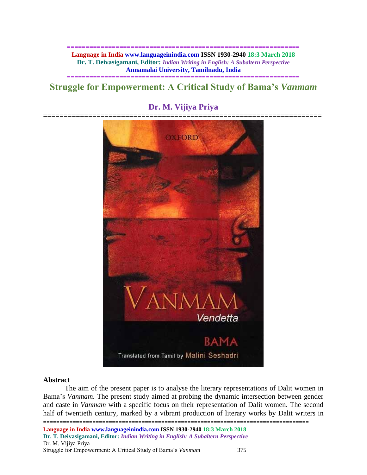#### **============================================================== Language in India www.languageinindia.com ISSN 1930-2940 18:3 March 2018 Dr. T. Deivasigamani, Editor:** *Indian Writing in English: A Subaltern Perspective* **Annamalai University, Tamilnadu, India**

## **============================================================== Struggle for Empowerment: A Critical Study of Bama's** *Vanmam*



# **Dr. M. Vijiya Priya**

**====================================================================**

#### **Abstract**

The aim of the present paper is to analyse the literary representations of Dalit women in Bama's *Vanmam*. The present study aimed at probing the dynamic intersection between gender and caste in *Vanmam* with a specific focus on their representation of Dalit women. The second half of twentieth century, marked by a vibrant production of literary works by Dalit writers in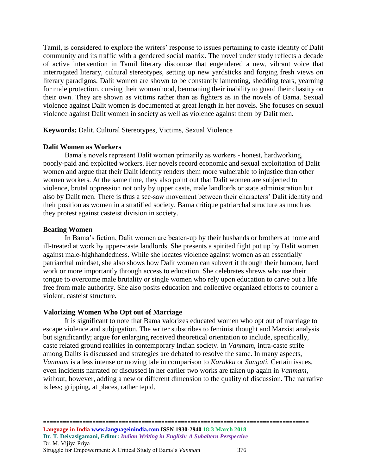Tamil, is considered to explore the writers' response to issues pertaining to caste identity of Dalit community and its traffic with a gendered social matrix. The novel under study reflects a decade of active intervention in Tamil literary discourse that engendered a new, vibrant voice that interrogated literary, cultural stereotypes, setting up new yardsticks and forging fresh views on literary paradigms. Dalit women are shown to be constantly lamenting, shedding tears, yearning for male protection, cursing their womanhood, bemoaning their inability to guard their chastity on their own. They are shown as victims rather than as fighters as in the novels of Bama. Sexual violence against Dalit women is documented at great length in her novels. She focuses on sexual violence against Dalit women in society as well as violence against them by Dalit men.

**Keywords:** Dalit, Cultural Stereotypes, Victims, Sexual Violence

## **Dalit Women as Workers**

Bama's novels represent Dalit women primarily as workers - honest, hardworking, poorly-paid and exploited workers. Her novels record economic and sexual exploitation of Dalit women and argue that their Dalit identity renders them more vulnerable to injustice than other women workers. At the same time, they also point out that Dalit women are subjected to violence, brutal oppression not only by upper caste, male landlords or state administration but also by Dalit men. There is thus a see-saw movement between their characters' Dalit identity and their position as women in a stratified society. Bama critique patriarchal structure as much as they protest against casteist division in society.

#### **Beating Women**

In Bama's fiction, Dalit women are beaten-up by their husbands or brothers at home and ill-treated at work by upper-caste landlords. She presents a spirited fight put up by Dalit women against male-highhandedness. While she locates violence against women as an essentially patriarchal mindset, she also shows how Dalit women can subvert it through their humour, hard work or more importantly through access to education. She celebrates shrews who use their tongue to overcome male brutality or single women who rely upon education to carve out a life free from male authority. She also posits education and collective organized efforts to counter a violent, casteist structure.

## **Valorizing Women Who Opt out of Marriage**

It is significant to note that Bama valorizes educated women who opt out of marriage to escape violence and subjugation. The writer subscribes to feminist thought and Marxist analysis but significantly; argue for enlarging received theoretical orientation to include, specifically, caste related ground realities in contemporary Indian society. In *Vanmam*, intra-caste strife among Dalits is discussed and strategies are debated to resolve the same. In many aspects, *Vanmam* is a less intense or moving tale in comparison to *Karukku* or *Sangati.* Certain issues, even incidents narrated or discussed in her earlier two works are taken up again in *Vanmam,*  without, however, adding a new or different dimension to the quality of discussion. The narrative is less; gripping, at places, rather tepid.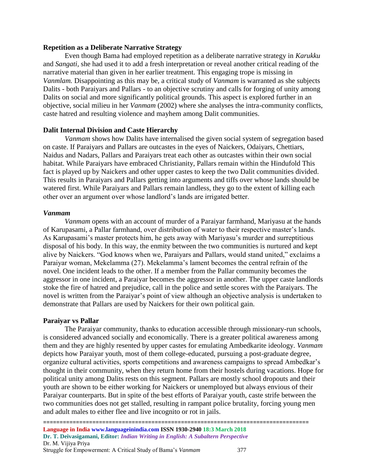#### **Repetition as a Deliberate Narrative Strategy**

Even though Bama had employed repetition as a deliberate narrative strategy in *Karukku* and *Sangati,* she had used it to add a fresh interpretation or reveal another critical reading of the narrative material than given in her earlier treatment. This engaging trope is missing in *Vanmlam.* Disappointing as this may be, a critical study of *Vanmam* is warranted as she subjects Dalits - both Paraiyars and Pallars - to an objective scrutiny and calls for forging of unity among Dalits on social and more significantly political grounds. This aspect is explored further in an objective, social milieu in her *Vanmam* (2002) where she analyses the intra-community conflicts, caste hatred and resulting violence and mayhem among Dalit communities.

#### **Dalit Internal Division and Caste Hierarchy**

*Vanmam* shows how Dalits have internalised the given social system of segregation based on caste. If Paraiyars and Pallars are outcastes in the eyes of Naickers, Odaiyars, Chettiars, Naidus and Nadars, Pallars and Paraiyars treat each other as outcastes within their own social habitat. While Paraiyars have embraced Christianity, Pallars remain within the Hindufold This fact is played up by Naickers and other upper castes to keep the two Dalit communities divided. This results in Paraiyars and Pallars getting into arguments and tiffs over whose lands should be watered first. While Paraiyars and Pallars remain landless, they go to the extent of killing each other over an argument over whose landlord's lands are irrigated better.

#### *Vanmam*

*Vanmam* opens with an account of murder of a Paraiyar farmhand, Mariyasu at the hands of Karupasami, a Pallar farmhand, over distribution of water to their respective master's lands. As Karupasami's master protects him, he gets away with Mariyasu's murder and surreptitious disposal of his body. In this way, the enmity between the two communities is nurtured and kept alive by Naickers. "God knows when we, Paraiyars and Pallars, would stand united," exclaims a Paraiyar woman, Mekelamma (27). Mekelamma's lament becomes the central refrain of the novel. One incident leads to the other. If a member from the Pallar community becomes the aggressor in one incident, a Paraiyar becomes the aggressor in another. The upper caste landlords stoke the fire of hatred and prejudice, call in the police and settle scores with the Paraiyars. The novel is written from the Paraiyar's point of view although an objective analysis is undertaken to demonstrate that Pallars are used by Naickers for their own political gain.

#### **Paraiyar vs Pallar**

The Paraiyar community, thanks to education accessible through missionary-run schools, is considered advanced socially and economically. There is a greater political awareness among them and they are highly resented by upper castes for emulating Ambedkarite ideology. *Vanmam* depicts how Paraiyar youth, most of them college-educated, pursuing a post-graduate degree, organize cultural activities, sports competitions and awareness campaigns to spread Ambedkar's thought in their community, when they return home from their hostels during vacations. Hope for political unity among Dalits rests on this segment. Pallars are mostly school dropouts and their youth are shown to be either working for Naickers or unemployed but always envious of their Paraiyar counterparts. But in spite of the best efforts of Paraiyar youth, caste strife between the two communities does not get stalled, resulting in rampant police brutality, forcing young men and adult males to either flee and live incognito or rot in jails.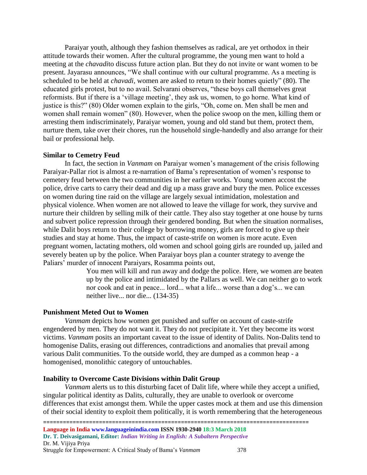Paraiyar youth, although they fashion themselves as radical, are yet orthodox in their attitude towards their women. After the cultural programme, the young men want to hold a meeting at the *chavadi*to discuss future action plan. But they do not invite or want women to be present. Jayarasu announces, "We shall continue with our cultural programme. As a meeting is scheduled to be held at *chavadi,* women are asked to return to their homes quietly" (80). The educated girls protest, but to no avail. Selvarani observes, "these boys call themselves great reformists. But if there is a 'village meeting', they ask us, women, to go horne. What kind of justice is this?" (80) Older women explain to the girls, "Oh, come on. Men shall be men and women shall remain women" (80). However, when the police swoop on the men, killing them or arresting them indiscriminately, Paraiyar women, young and old stand but them, protect them, nurture them, take over their chores, run the household single-handedly and also arrange for their bail or professional help.

#### **Similar to Cemetry Feud**

In fact, the section in *Vanmam* on Paraiyar women's management of the crisis following Paraiyar-Pallar riot is almost a re-narration of Bama's representation of women's response to cemetery feud between the two communities in her earlier works. Young women accost the police, drive carts to carry their dead and dig up a mass grave and bury the men. Police excesses on women during tine raid on the village are largely sexual intimidation, molestation and physical violence. When women are not allowed to leave the village for work, they survive and nurture their children by selling milk of their cattle. They also stay together at one house by turns and subvert police repression through their gendered bonding. But when the situation normalises, while Dalit boys return to their college by borrowing money, girls are forced to give up their studies and stay at home. Thus, the impact of caste-strife on women is more acute. Even pregnant women, lactating mothers, old women and school going girls are rounded up, jailed and severely beaten up by the police. When Paraiyar boys plan a counter strategy to avenge the Paliars' murder of innocent Paraiyars, Rosamma points out,

> You men will kill and run away and dodge the police. Here, we women are beaten up by the police and intimidated by the Pallars as well. We can neither go to work nor cook and eat in peace... lord... what a life... worse than a dog's... we can neither live... nor die... (134-35)

#### **Punishment Meted Out to Women**

*Vanmam* depicts how women get punished and suffer on account of caste-strife engendered by men. They do not want it. They do not precipitate it. Yet they become its worst victims. *Vanmam* posits an important caveat to the issue of identity of Dalits. Non-Dalits tend to homogenise Dalits, erasing out differences, contradictions and anomalies that prevail among various Dalit communities. To the outside world, they are dumped as a common heap - a homogenised, monolithic category of untouchables.

#### **Inability to Overcome Caste Divisions within Dalit Group**

*Vanmam* alerts us to this disturbing facet of Dalit life, where while they accept a unified, singular political identity as Dalits, culturally, they are unable to overlook or overcome differences that exist amongst them. While the upper castes mock at them and use this dimension of their social identity to exploit them politically, it is worth remembering that the heterogeneous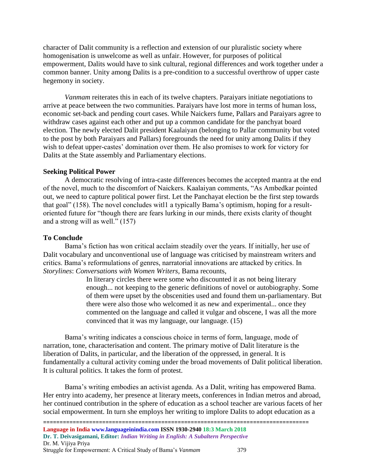character of Dalit community is a reflection and extension of our pluralistic society where homogenisation is unwelcome as well as unfair. However, for purposes of political empowerment, Dalits would have to sink cultural, regional differences and work together under a common banner. Unity among Dalits is a pre-condition to a successful overthrow of upper caste hegemony in society.

*Vanmam* reiterates this in each of its twelve chapters. Paraiyars initiate negotiations to arrive at peace between the two communities. Paraiyars have lost more in terms of human loss, economic set-back and pending court cases. While Naickers fume, Pallars and Paraiyars agree to withdraw cases against each other and put up a common candidate for the panchyat board election. The newly elected Dalit president Kaalaiyan (belonging to Pallar community but voted to the post by both Paraiyars and Pallars) foregrounds the need for unity among Dalits if they wish to defeat upper-castes' domination over them. He also promises to work for victory for Dalits at the State assembly and Parliamentary elections.

## **Seeking Political Power**

A democratic resolving of intra-caste differences becomes the accepted mantra at the end of the novel, much to the discomfort of Naickers. Kaalaiyan comments, "As Ambedkar pointed out, we need to capture political power first. Let the Panchayat election be the first step towards that goal" (158). The novel concludes witl1 a typically Bama's optimism, hoping for a resultoriented future for "though there are fears lurking in our minds, there exists clarity of thought and a strong will as well." (157)

## **To Conclude**

Bama's fiction has won critical acclaim steadily over the years. If initially, her use of Dalit vocabulary and unconventional use of language was criticised by mainstream writers and critics. Bama's reformulations of genres, narratorial innovations are attacked by critics. In *Storylines*: *Conversations with Women Writers,* Bama recounts,

> In literary circles there were some who discounted it as not being literary enough... not keeping to the generic definitions of novel or autobiography. Some of them were upset by the obscenities used and found them un-parliamentary. But there were also those who welcomed it as new and experimental... once they commented on the language and called it vulgar and obscene, I was all the more convinced that it was my language, our language. (15)

Bama's writing indicates a conscious choice in terms of form, language, mode of narration, tone, characterisation and content. The primary motive of Dalit literature is the liberation of Dalits, in particular, and the liberation of the oppressed, in general. It is fundamentally a cultural activity coming under the broad movements of Dalit political liberation. It is cultural politics. It takes the form of protest.

Bama's writing embodies an activist agenda. As a Dalit, writing has empowered Bama. Her entry into academy, her presence at literary meets, conferences in Indian metros and abroad, her continued contribution in the sphere of education as a school teacher are various facets of her social empowerment. In turn she employs her writing to implore Dalits to adopt education as a